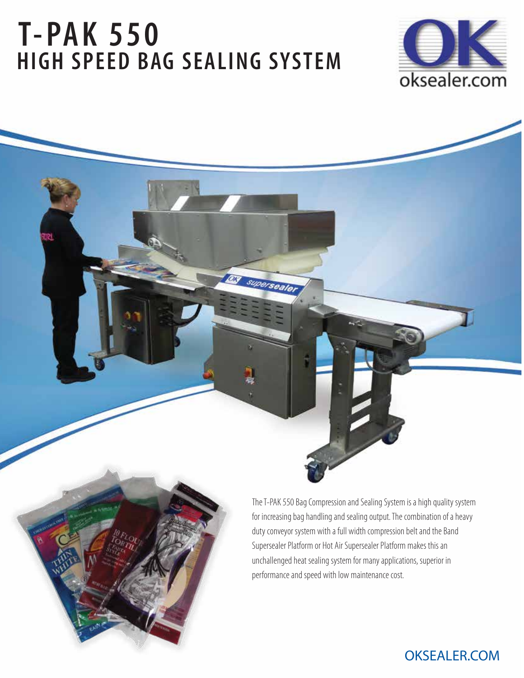# **T-PAK 550 HIGH SPEED BAG SEALING SYSTEM**

DJ superseale



The T-PAK 550 Bag Compression and Sealing System is a high quality system for increasing bag handling and sealing output. The combination of a heavy duty conveyor system with a full width compression belt and the Band Supersealer Platform or Hot Air Supersealer Platform makes this an unchallenged heat sealing system for many applications, superior in performance and speed with low maintenance cost.

# **OKSEALER.**COM